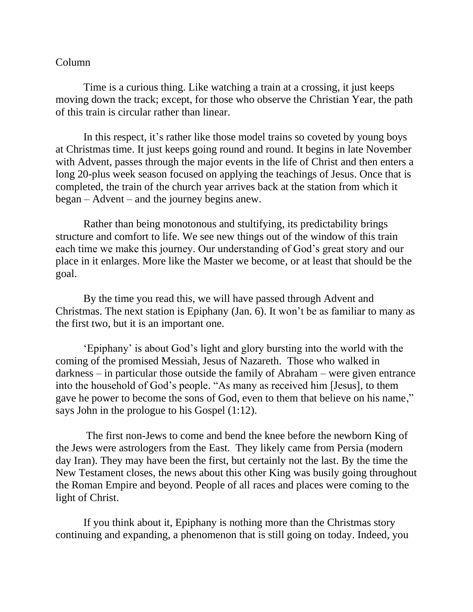## Column

Time is a curious thing. Like watching a train at a crossing, it just keeps moving down the track; except, for those who observe the Christian Year, the path of this train is circular rather than linear.

In this respect, it's rather like those model trains so coveted by young boys at Christmas time. It just keeps going round and round. It begins in late November with Advent, passes through the major events in the life of Christ and then enters a long 20-plus week season focused on applying the teachings of Jesus. Once that is completed, the train of the church year arrives back at the station from which it began – Advent – and the journey begins anew.

Rather than being monotonous and stultifying, its predictability brings structure and comfort to life. We see new things out of the window of this train each time we make this journey. Our understanding of God's great story and our place in it enlarges. More like the Master we become, or at least that should be the goal.

By the time you read this, we will have passed through Advent and Christmas. The next station is Epiphany (Jan. 6). It won't be as familiar to many as the first two, but it is an important one.

'Epiphany' is about God's light and glory bursting into the world with the coming of the promised Messiah, Jesus of Nazareth. Those who walked in darkness – in particular those outside the family of Abraham – were given entrance into the household of God's people. "As many as received him [Jesus], to them gave he power to become the sons of God, even to them that believe on his name," says John in the prologue to his Gospel (1:12).

The first non-Jews to come and bend the knee before the newborn King of the Jews were astrologers from the East. They likely came from Persia (modern day Iran). They may have been the first, but certainly not the last. By the time the New Testament closes, the news about this other King was busily going throughout the Roman Empire and beyond. People of all races and places were coming to the light of Christ.

If you think about it, Epiphany is nothing more than the Christmas story continuing and expanding, a phenomenon that is still going on today. Indeed, you